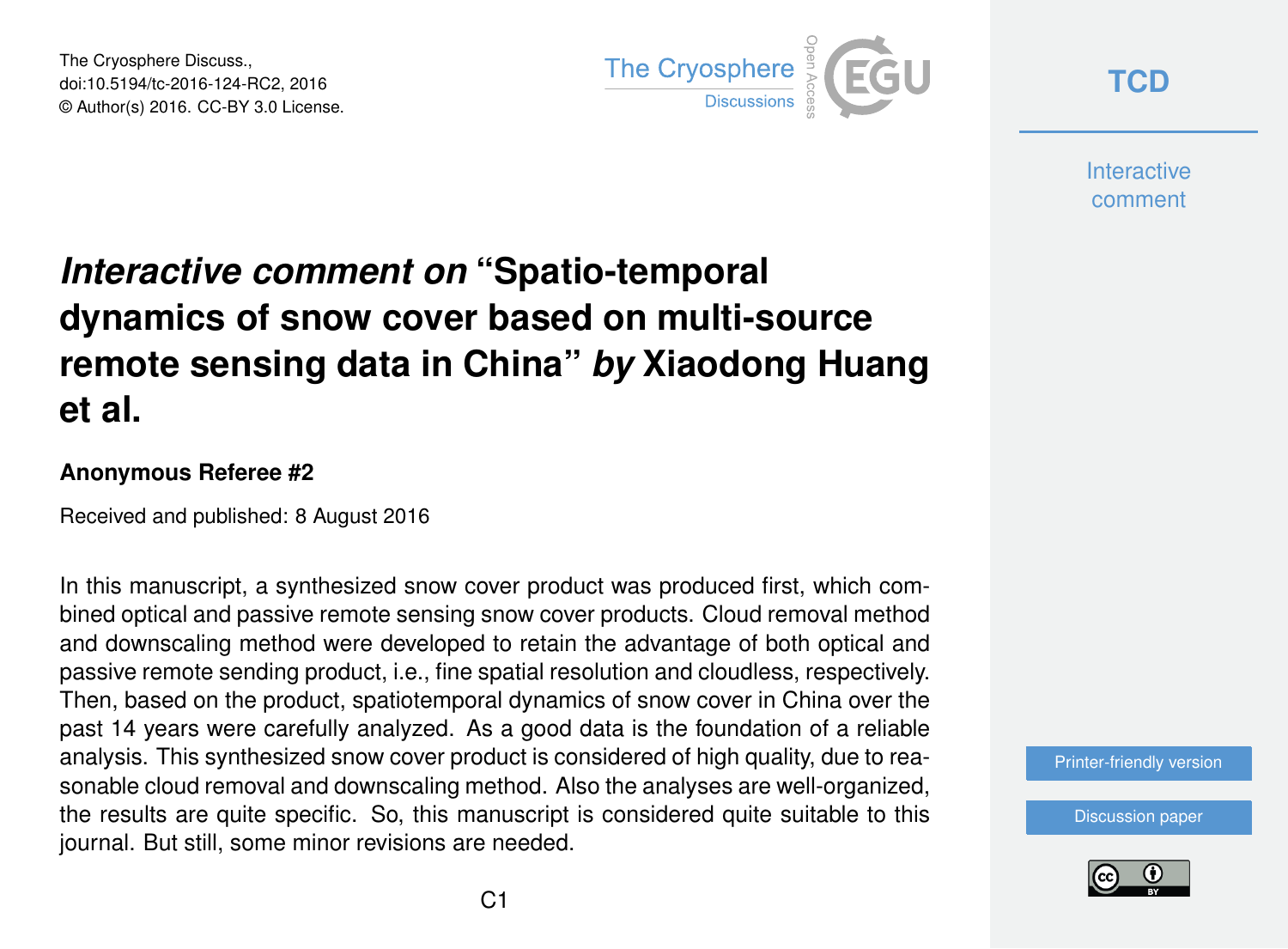The Cryosphere Discuss., doi:10.5194/tc-2016-124-RC2, 2016 © Author(s) 2016. CC-BY 3.0 License.



**[TCD](http://www.the-cryosphere-discuss.net/)**

**Interactive** comment

## *Interactive comment on* **"Spatio-temporal dynamics of snow cover based on multi-source remote sensing data in China"** *by* **Xiaodong Huang et al.**

## **Anonymous Referee #2**

Received and published: 8 August 2016

In this manuscript, a synthesized snow cover product was produced first, which combined optical and passive remote sensing snow cover products. Cloud removal method and downscaling method were developed to retain the advantage of both optical and passive remote sending product, i.e., fine spatial resolution and cloudless, respectively. Then, based on the product, spatiotemporal dynamics of snow cover in China over the past 14 years were carefully analyzed. As a good data is the foundation of a reliable analysis. This synthesized snow cover product is considered of high quality, due to reasonable cloud removal and downscaling method. Also the analyses are well-organized, the results are quite specific. So, this manuscript is considered quite suitable to this journal. But still, some minor revisions are needed.

[Printer-friendly version](http://www.the-cryosphere-discuss.net/tc-2016-124/tc-2016-124-RC2-print.pdf)

[Discussion paper](http://www.the-cryosphere-discuss.net/tc-2016-124)

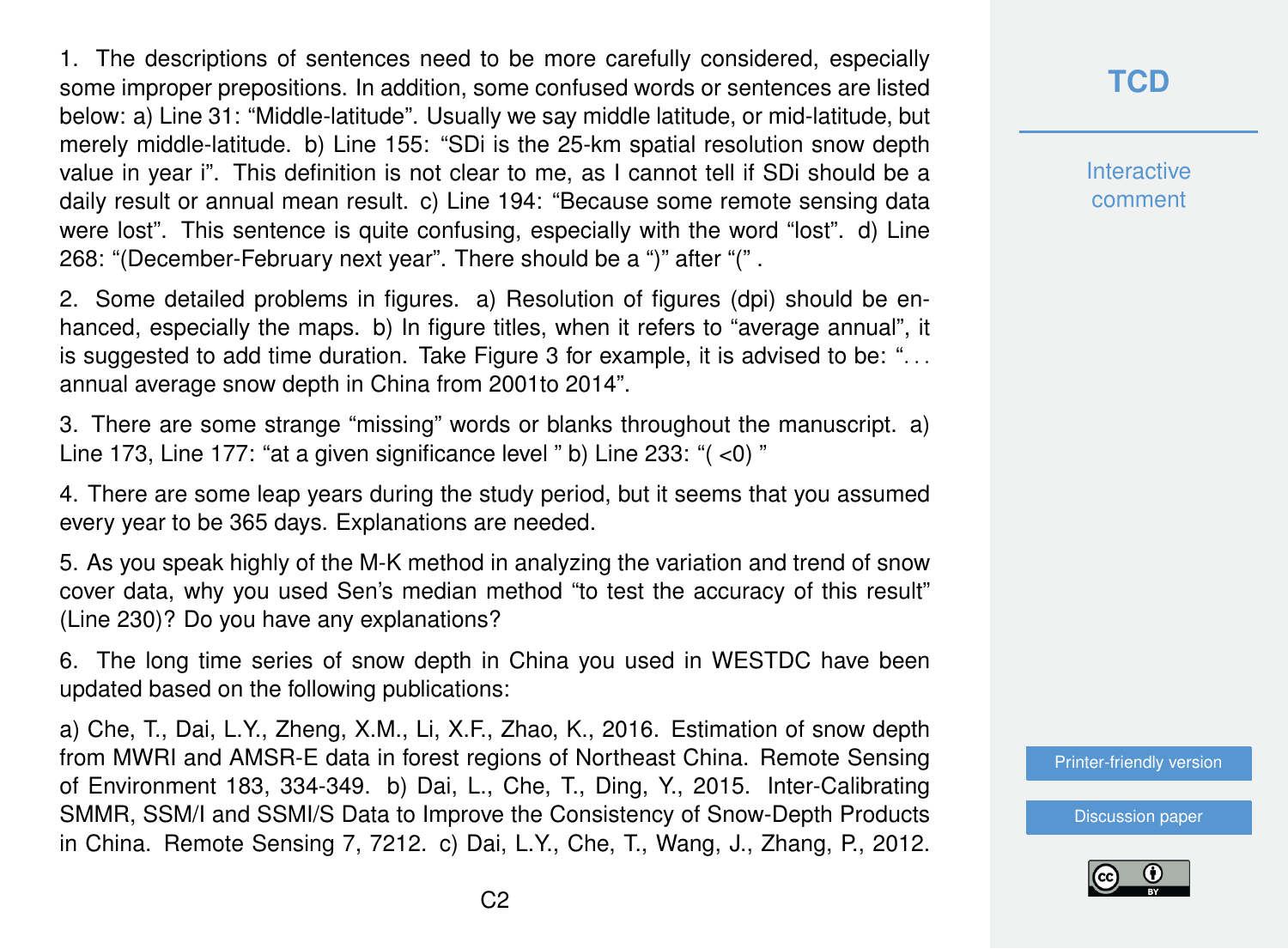1. The descriptions of sentences need to be more carefully considered, especially some improper prepositions. In addition, some confused words or sentences are listed below: a) Line 31: "Middle-latitude". Usually we say middle latitude, or mid-latitude, but merely middle-latitude. b) Line 155: "SDi is the 25-km spatial resolution snow depth value in year i". This definition is not clear to me, as I cannot tell if SDi should be a daily result or annual mean result. c) Line 194: "Because some remote sensing data were lost". This sentence is quite confusing, especially with the word "lost". d) Line 268: "(December-February next year". There should be a ")" after "(" .

2. Some detailed problems in figures. a) Resolution of figures (dpi) should be enhanced, especially the maps. b) In figure titles, when it refers to "average annual", it is suggested to add time duration. Take Figure 3 for example, it is advised to be: ". . . annual average snow depth in China from 2001to 2014".

3. There are some strange "missing" words or blanks throughout the manuscript. a) Line 173, Line 177: "at a given significance level " b) Line 233: "( <0) "

4. There are some leap years during the study period, but it seems that you assumed every year to be 365 days. Explanations are needed.

5. As you speak highly of the M-K method in analyzing the variation and trend of snow cover data, why you used Sen's median method "to test the accuracy of this result" (Line 230)? Do you have any explanations?

6. The long time series of snow depth in China you used in WESTDC have been updated based on the following publications:

a) Che, T., Dai, L.Y., Zheng, X.M., Li, X.F., Zhao, K., 2016. Estimation of snow depth from MWRI and AMSR-E data in forest regions of Northeast China. Remote Sensing of Environment 183, 334-349. b) Dai, L., Che, T., Ding, Y., 2015. Inter-Calibrating SMMR, SSM/I and SSMI/S Data to Improve the Consistency of Snow-Depth Products in China. Remote Sensing 7, 7212. c) Dai, L.Y., Che, T., Wang, J., Zhang, P., 2012.

## **[TCD](http://www.the-cryosphere-discuss.net/)**

**Interactive** comment

[Printer-friendly version](http://www.the-cryosphere-discuss.net/tc-2016-124/tc-2016-124-RC2-print.pdf)

[Discussion paper](http://www.the-cryosphere-discuss.net/tc-2016-124)